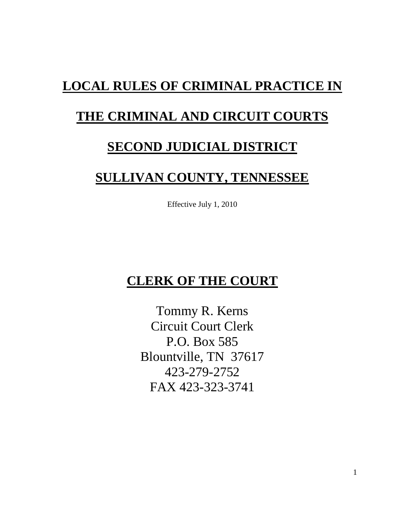# **LOCAL RULES OF CRIMINAL PRACTICE IN**

# **THE CRIMINAL AND CIRCUIT COURTS**

# **SECOND JUDICIAL DISTRICT**

# **SULLIVAN COUNTY, TENNESSEE**

Effective July 1, 2010

# **CLERK OF THE COURT**

Tommy R. Kerns Circuit Court Clerk P.O. Box 585 Blountville, TN 37617 423-279-2752 FAX 423-323-3741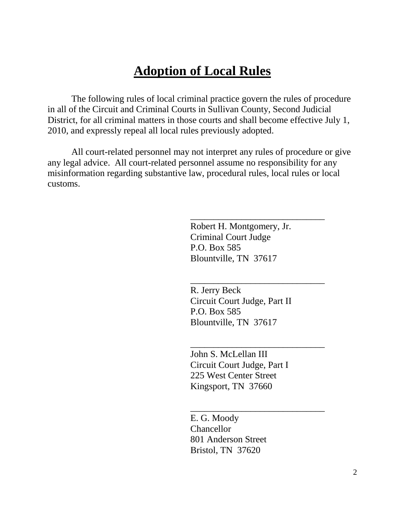# **Adoption of Local Rules**

The following rules of local criminal practice govern the rules of procedure in all of the Circuit and Criminal Courts in Sullivan County, Second Judicial District, for all criminal matters in those courts and shall become effective July 1, 2010, and expressly repeal all local rules previously adopted.

All court-related personnel may not interpret any rules of procedure or give any legal advice. All court-related personnel assume no responsibility for any misinformation regarding substantive law, procedural rules, local rules or local customs.

> Robert H. Montgomery, Jr. Criminal Court Judge P.O. Box 585 Blountville, TN 37617

\_\_\_\_\_\_\_\_\_\_\_\_\_\_\_\_\_\_\_\_\_\_\_\_\_\_\_\_\_

\_\_\_\_\_\_\_\_\_\_\_\_\_\_\_\_\_\_\_\_\_\_\_\_\_\_\_\_\_

\_\_\_\_\_\_\_\_\_\_\_\_\_\_\_\_\_\_\_\_\_\_\_\_\_\_\_\_\_

\_\_\_\_\_\_\_\_\_\_\_\_\_\_\_\_\_\_\_\_\_\_\_\_\_\_\_\_\_

R. Jerry Beck Circuit Court Judge, Part II P.O. Box 585 Blountville, TN 37617

John S. McLellan III Circuit Court Judge, Part I 225 West Center Street Kingsport, TN 37660

E. G. Moody **Chancellor** 801 Anderson Street Bristol, TN 37620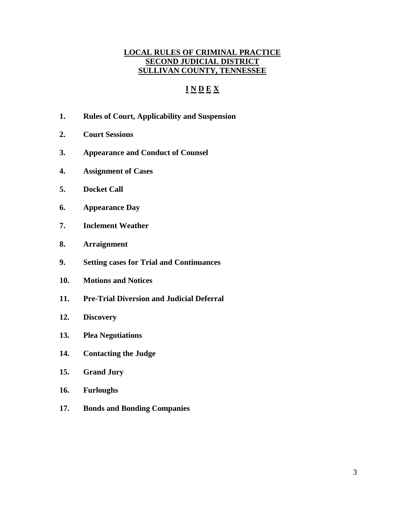# **LOCAL RULES OF CRIMINAL PRACTICE SECOND JUDICIAL DISTRICT SULLIVAN COUNTY, TENNESSEE**

# **I N D E X**

- **1. Rules of Court, Applicability and Suspension**
- **2. Court Sessions**
- **3. Appearance and Conduct of Counsel**
- **4. Assignment of Cases**
- **5. Docket Call**
- **6. Appearance Day**
- **7. Inclement Weather**
- **8. Arraignment**
- **9. Setting cases for Trial and Continuances**
- **10. Motions and Notices**
- **11. Pre-Trial Diversion and Judicial Deferral**
- **12. Discovery**
- **13. Plea Negotiations**
- **14. Contacting the Judge**
- **15. Grand Jury**
- **16. Furloughs**
- **17. Bonds and Bonding Companies**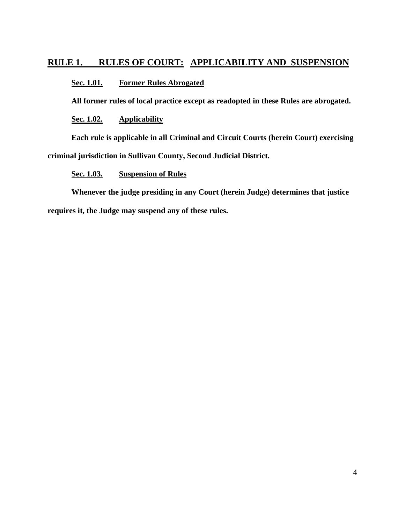# **RULE 1. RULES OF COURT: APPLICABILITY AND SUSPENSION**

## **Sec. 1.01. Former Rules Abrogated**

**All former rules of local practice except as readopted in these Rules are abrogated.**

**Sec. 1.02. Applicability**

**Each rule is applicable in all Criminal and Circuit Courts (herein Court) exercising criminal jurisdiction in Sullivan County, Second Judicial District.**

## **Sec. 1.03. Suspension of Rules**

**Whenever the judge presiding in any Court (herein Judge) determines that justice requires it, the Judge may suspend any of these rules.**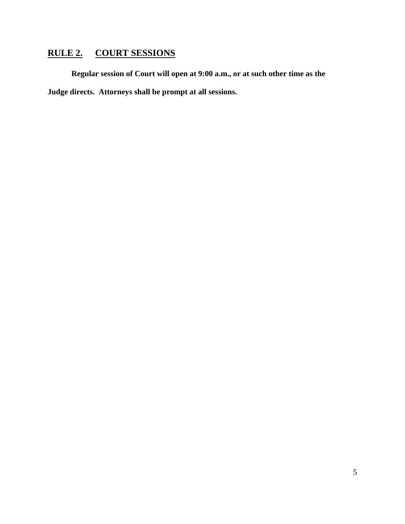# **RULE 2. COURT SESSIONS**

**Regular session of Court will open at 9:00 a.m., or at such other time as the Judge directs. Attorneys shall be prompt at all sessions.**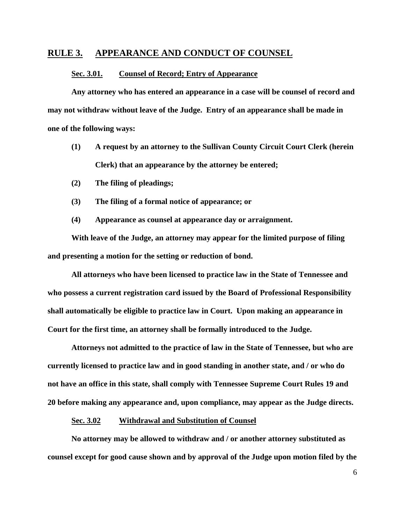## **RULE 3. APPEARANCE AND CONDUCT OF COUNSEL**

#### **Sec. 3.01. Counsel of Record; Entry of Appearance**

**Any attorney who has entered an appearance in a case will be counsel of record and may not withdraw without leave of the Judge. Entry of an appearance shall be made in one of the following ways:**

- **(1) A request by an attorney to the Sullivan County Circuit Court Clerk (herein Clerk) that an appearance by the attorney be entered;**
- **(2) The filing of pleadings;**
- **(3) The filing of a formal notice of appearance; or**
- **(4) Appearance as counsel at appearance day or arraignment.**

**With leave of the Judge, an attorney may appear for the limited purpose of filing and presenting a motion for the setting or reduction of bond.**

**All attorneys who have been licensed to practice law in the State of Tennessee and who possess a current registration card issued by the Board of Professional Responsibility shall automatically be eligible to practice law in Court. Upon making an appearance in Court for the first time, an attorney shall be formally introduced to the Judge.**

**Attorneys not admitted to the practice of law in the State of Tennessee, but who are currently licensed to practice law and in good standing in another state, and / or who do not have an office in this state, shall comply with Tennessee Supreme Court Rules 19 and 20 before making any appearance and, upon compliance, may appear as the Judge directs.**

#### **Sec. 3.02 Withdrawal and Substitution of Counsel**

**No attorney may be allowed to withdraw and / or another attorney substituted as counsel except for good cause shown and by approval of the Judge upon motion filed by the**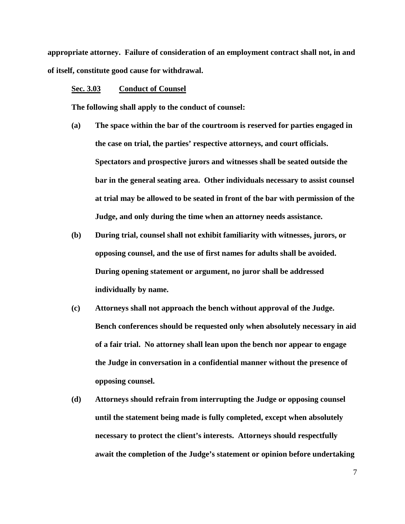**appropriate attorney. Failure of consideration of an employment contract shall not, in and of itself, constitute good cause for withdrawal.**

### **Sec. 3.03 Conduct of Counsel**

**The following shall apply to the conduct of counsel:**

- **(a) The space within the bar of the courtroom is reserved for parties engaged in the case on trial, the parties' respective attorneys, and court officials. Spectators and prospective jurors and witnesses shall be seated outside the bar in the general seating area. Other individuals necessary to assist counsel at trial may be allowed to be seated in front of the bar with permission of the Judge, and only during the time when an attorney needs assistance.**
- **(b) During trial, counsel shall not exhibit familiarity with witnesses, jurors, or opposing counsel, and the use of first names for adults shall be avoided. During opening statement or argument, no juror shall be addressed individually by name.**
- **(c) Attorneys shall not approach the bench without approval of the Judge. Bench conferences should be requested only when absolutely necessary in aid of a fair trial. No attorney shall lean upon the bench nor appear to engage the Judge in conversation in a confidential manner without the presence of opposing counsel.**
- **(d) Attorneys should refrain from interrupting the Judge or opposing counsel until the statement being made is fully completed, except when absolutely necessary to protect the client's interests. Attorneys should respectfully await the completion of the Judge's statement or opinion before undertaking**

7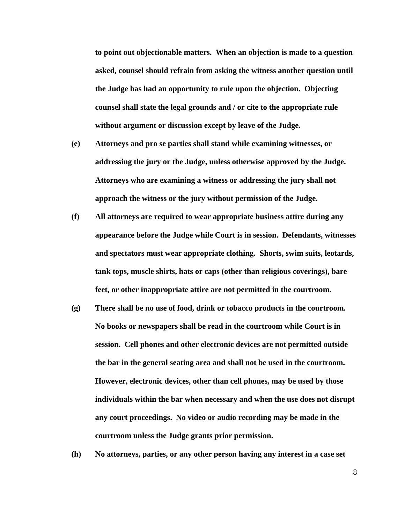**to point out objectionable matters. When an objection is made to a question asked, counsel should refrain from asking the witness another question until the Judge has had an opportunity to rule upon the objection. Objecting counsel shall state the legal grounds and / or cite to the appropriate rule without argument or discussion except by leave of the Judge.**

- **(e) Attorneys and pro se parties shall stand while examining witnesses, or addressing the jury or the Judge, unless otherwise approved by the Judge. Attorneys who are examining a witness or addressing the jury shall not approach the witness or the jury without permission of the Judge.**
- **(f) All attorneys are required to wear appropriate business attire during any appearance before the Judge while Court is in session. Defendants, witnesses and spectators must wear appropriate clothing. Shorts, swim suits, leotards, tank tops, muscle shirts, hats or caps (other than religious coverings), bare feet, or other inappropriate attire are not permitted in the courtroom.**
- **(g) There shall be no use of food, drink or tobacco products in the courtroom. No books or newspapers shall be read in the courtroom while Court is in session. Cell phones and other electronic devices are not permitted outside the bar in the general seating area and shall not be used in the courtroom. However, electronic devices, other than cell phones, may be used by those individuals within the bar when necessary and when the use does not disrupt any court proceedings. No video or audio recording may be made in the courtroom unless the Judge grants prior permission.**
- **(h) No attorneys, parties, or any other person having any interest in a case set**

8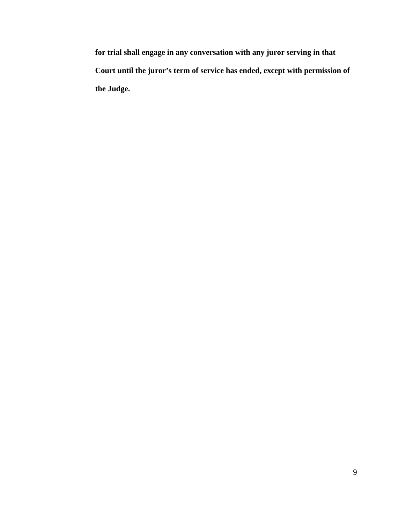**for trial shall engage in any conversation with any juror serving in that Court until the juror's term of service has ended, except with permission of the Judge.**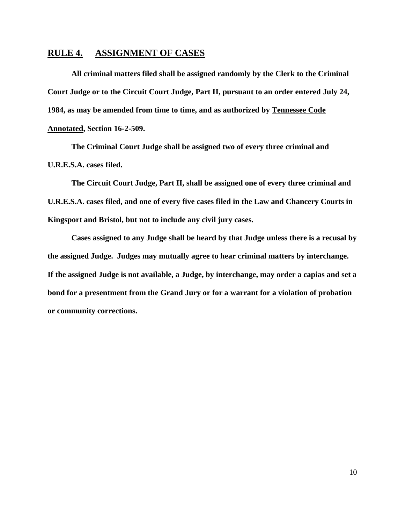# **RULE 4. ASSIGNMENT OF CASES**

**All criminal matters filed shall be assigned randomly by the Clerk to the Criminal Court Judge or to the Circuit Court Judge, Part II, pursuant to an order entered July 24, 1984, as may be amended from time to time, and as authorized by Tennessee Code Annotated, Section 16-2-509.**

**The Criminal Court Judge shall be assigned two of every three criminal and U.R.E.S.A. cases filed.**

**The Circuit Court Judge, Part II, shall be assigned one of every three criminal and U.R.E.S.A. cases filed, and one of every five cases filed in the Law and Chancery Courts in Kingsport and Bristol, but not to include any civil jury cases.**

**Cases assigned to any Judge shall be heard by that Judge unless there is a recusal by the assigned Judge. Judges may mutually agree to hear criminal matters by interchange. If the assigned Judge is not available, a Judge, by interchange, may order a capias and set a bond for a presentment from the Grand Jury or for a warrant for a violation of probation or community corrections.**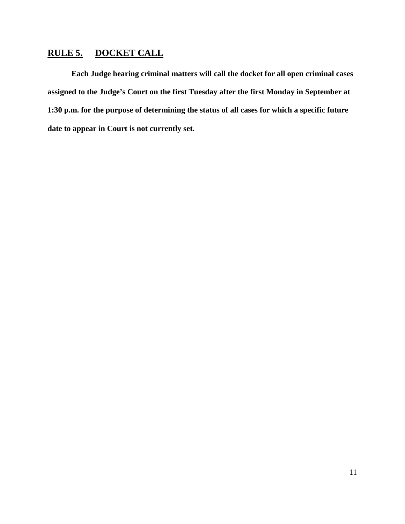# **RULE 5. DOCKET CALL**

**Each Judge hearing criminal matters will call the docket for all open criminal cases assigned to the Judge's Court on the first Tuesday after the first Monday in September at 1:30 p.m. for the purpose of determining the status of all cases for which a specific future date to appear in Court is not currently set.**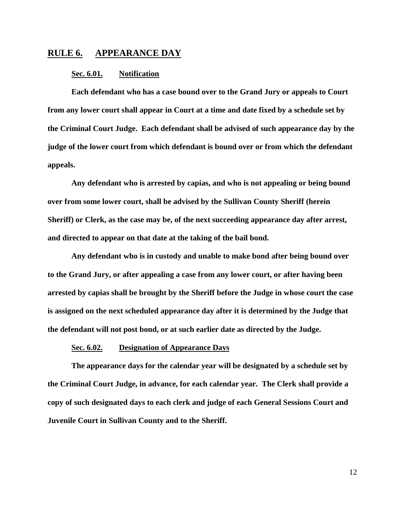## **RULE 6. APPEARANCE DAY**

### **Sec. 6.01. Notification**

**Each defendant who has a case bound over to the Grand Jury or appeals to Court from any lower court shall appear in Court at a time and date fixed by a schedule set by the Criminal Court Judge. Each defendant shall be advised of such appearance day by the judge of the lower court from which defendant is bound over or from which the defendant appeals.**

**Any defendant who is arrested by capias, and who is not appealing or being bound over from some lower court, shall be advised by the Sullivan County Sheriff (herein Sheriff) or Clerk, as the case may be, of the next succeeding appearance day after arrest, and directed to appear on that date at the taking of the bail bond.**

**Any defendant who is in custody and unable to make bond after being bound over to the Grand Jury, or after appealing a case from any lower court, or after having been arrested by capias shall be brought by the Sheriff before the Judge in whose court the case is assigned on the next scheduled appearance day after it is determined by the Judge that the defendant will not post bond, or at such earlier date as directed by the Judge.**

#### **Sec. 6.02. Designation of Appearance Days**

**The appearance days for the calendar year will be designated by a schedule set by the Criminal Court Judge, in advance, for each calendar year. The Clerk shall provide a copy of such designated days to each clerk and judge of each General Sessions Court and Juvenile Court in Sullivan County and to the Sheriff.**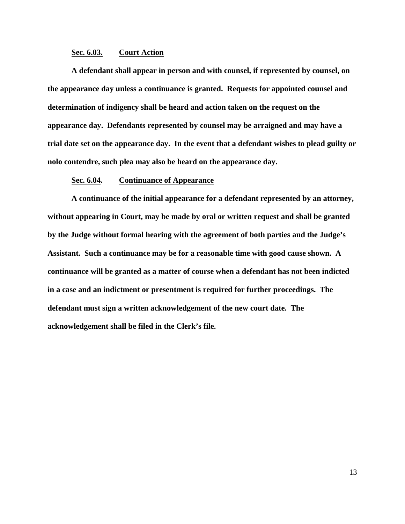### **Sec. 6.03. Court Action**

**A defendant shall appear in person and with counsel, if represented by counsel, on the appearance day unless a continuance is granted. Requests for appointed counsel and determination of indigency shall be heard and action taken on the request on the appearance day. Defendants represented by counsel may be arraigned and may have a trial date set on the appearance day. In the event that a defendant wishes to plead guilty or nolo contendre, such plea may also be heard on the appearance day.**

### **Sec. 6.04. Continuance of Appearance**

**A continuance of the initial appearance for a defendant represented by an attorney, without appearing in Court, may be made by oral or written request and shall be granted by the Judge without formal hearing with the agreement of both parties and the Judge's Assistant. Such a continuance may be for a reasonable time with good cause shown. A continuance will be granted as a matter of course when a defendant has not been indicted in a case and an indictment or presentment is required for further proceedings. The defendant must sign a written acknowledgement of the new court date. The acknowledgement shall be filed in the Clerk's file.**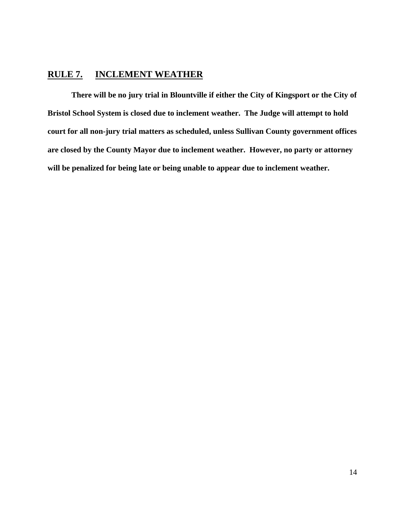# **RULE 7. INCLEMENT WEATHER**

**There will be no jury trial in Blountville if either the City of Kingsport or the City of Bristol School System is closed due to inclement weather. The Judge will attempt to hold court for all non-jury trial matters as scheduled, unless Sullivan County government offices are closed by the County Mayor due to inclement weather. However, no party or attorney will be penalized for being late or being unable to appear due to inclement weather.**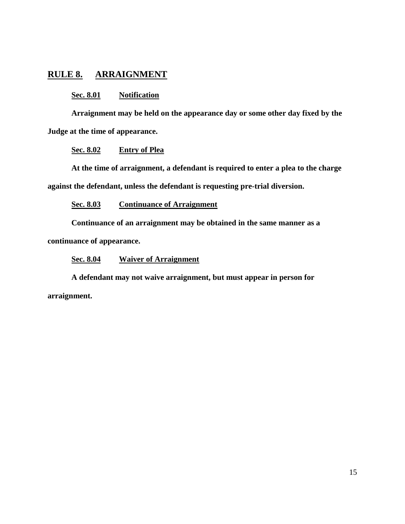# **RULE 8. ARRAIGNMENT**

## **Sec. 8.01 Notification**

**Arraignment may be held on the appearance day or some other day fixed by the Judge at the time of appearance.**

## **Sec. 8.02 Entry of Plea**

**At the time of arraignment, a defendant is required to enter a plea to the charge against the defendant, unless the defendant is requesting pre-trial diversion.**

**Sec. 8.03 Continuance of Arraignment**

**Continuance of an arraignment may be obtained in the same manner as a continuance of appearance.** 

**Sec. 8.04 Waiver of Arraignment**

**A defendant may not waive arraignment, but must appear in person for arraignment.**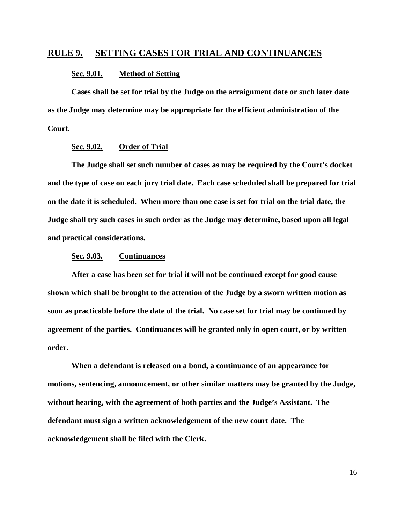## **RULE 9. SETTING CASES FOR TRIAL AND CONTINUANCES**

#### **Sec. 9.01. Method of Setting**

**Cases shall be set for trial by the Judge on the arraignment date or such later date as the Judge may determine may be appropriate for the efficient administration of the Court.**

#### **Sec. 9.02. Order of Trial**

**The Judge shall set such number of cases as may be required by the Court's docket and the type of case on each jury trial date. Each case scheduled shall be prepared for trial on the date it is scheduled. When more than one case is set for trial on the trial date, the Judge shall try such cases in such order as the Judge may determine, based upon all legal and practical considerations.**

## **Sec. 9.03. Continuances**

**After a case has been set for trial it will not be continued except for good cause shown which shall be brought to the attention of the Judge by a sworn written motion as soon as practicable before the date of the trial. No case set for trial may be continued by agreement of the parties. Continuances will be granted only in open court, or by written order.**

**When a defendant is released on a bond, a continuance of an appearance for motions, sentencing, announcement, or other similar matters may be granted by the Judge, without hearing, with the agreement of both parties and the Judge's Assistant. The defendant must sign a written acknowledgement of the new court date. The acknowledgement shall be filed with the Clerk.**

16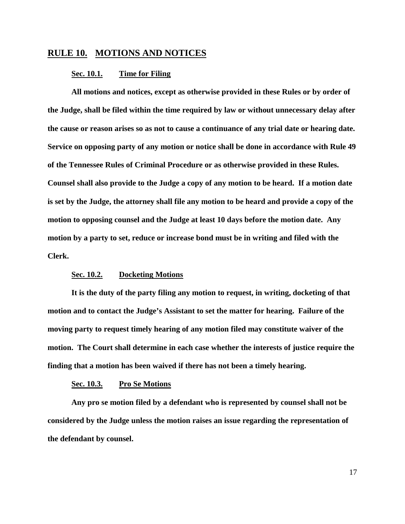# **RULE 10. MOTIONS AND NOTICES**

#### **Sec. 10.1. Time for Filing**

**All motions and notices, except as otherwise provided in these Rules or by order of the Judge, shall be filed within the time required by law or without unnecessary delay after the cause or reason arises so as not to cause a continuance of any trial date or hearing date. Service on opposing party of any motion or notice shall be done in accordance with Rule 49 of the Tennessee Rules of Criminal Procedure or as otherwise provided in these Rules. Counsel shall also provide to the Judge a copy of any motion to be heard. If a motion date is set by the Judge, the attorney shall file any motion to be heard and provide a copy of the motion to opposing counsel and the Judge at least 10 days before the motion date. Any motion by a party to set, reduce or increase bond must be in writing and filed with the Clerk.** 

#### **Sec. 10.2. Docketing Motions**

**It is the duty of the party filing any motion to request, in writing, docketing of that motion and to contact the Judge's Assistant to set the matter for hearing. Failure of the moving party to request timely hearing of any motion filed may constitute waiver of the motion. The Court shall determine in each case whether the interests of justice require the finding that a motion has been waived if there has not been a timely hearing.**

#### **Sec. 10.3. Pro Se Motions**

**Any pro se motion filed by a defendant who is represented by counsel shall not be considered by the Judge unless the motion raises an issue regarding the representation of the defendant by counsel.**

17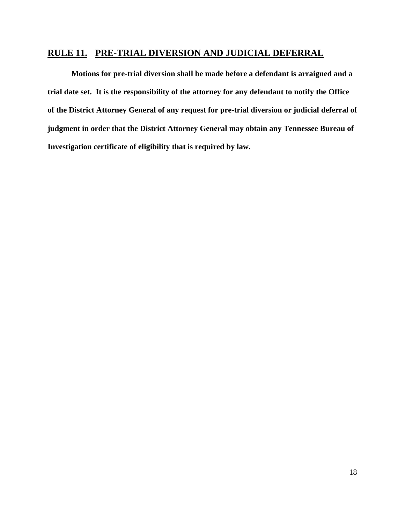# **RULE 11. PRE-TRIAL DIVERSION AND JUDICIAL DEFERRAL**

**Motions for pre-trial diversion shall be made before a defendant is arraigned and a trial date set. It is the responsibility of the attorney for any defendant to notify the Office of the District Attorney General of any request for pre-trial diversion or judicial deferral of judgment in order that the District Attorney General may obtain any Tennessee Bureau of Investigation certificate of eligibility that is required by law.**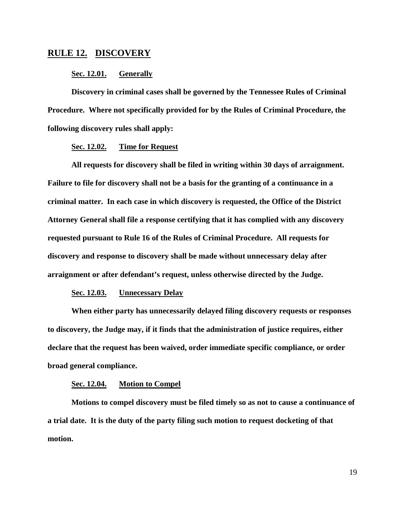# **RULE 12. DISCOVERY**

### **Sec. 12.01. Generally**

**Discovery in criminal cases shall be governed by the Tennessee Rules of Criminal Procedure. Where not specifically provided for by the Rules of Criminal Procedure, the following discovery rules shall apply:**

## **Sec. 12.02. Time for Request**

**All requests for discovery shall be filed in writing within 30 days of arraignment. Failure to file for discovery shall not be a basis for the granting of a continuance in a criminal matter. In each case in which discovery is requested, the Office of the District Attorney General shall file a response certifying that it has complied with any discovery requested pursuant to Rule 16 of the Rules of Criminal Procedure. All requests for discovery and response to discovery shall be made without unnecessary delay after arraignment or after defendant's request, unless otherwise directed by the Judge.**

## **Sec. 12.03. Unnecessary Delay**

**When either party has unnecessarily delayed filing discovery requests or responses to discovery, the Judge may, if it finds that the administration of justice requires, either declare that the request has been waived, order immediate specific compliance, or order broad general compliance.**

#### **Sec. 12.04. Motion to Compel**

**Motions to compel discovery must be filed timely so as not to cause a continuance of a trial date. It is the duty of the party filing such motion to request docketing of that motion.**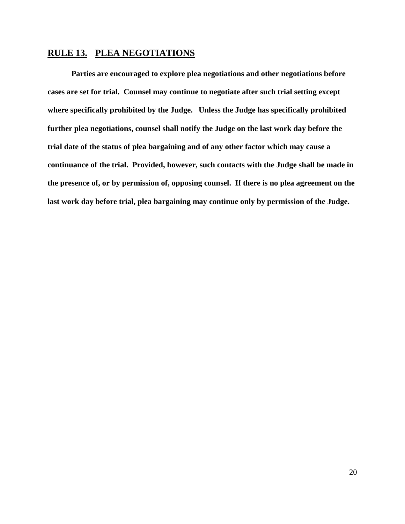# **RULE 13. PLEA NEGOTIATIONS**

**Parties are encouraged to explore plea negotiations and other negotiations before cases are set for trial. Counsel may continue to negotiate after such trial setting except where specifically prohibited by the Judge. Unless the Judge has specifically prohibited further plea negotiations, counsel shall notify the Judge on the last work day before the trial date of the status of plea bargaining and of any other factor which may cause a continuance of the trial. Provided, however, such contacts with the Judge shall be made in the presence of, or by permission of, opposing counsel. If there is no plea agreement on the last work day before trial, plea bargaining may continue only by permission of the Judge.**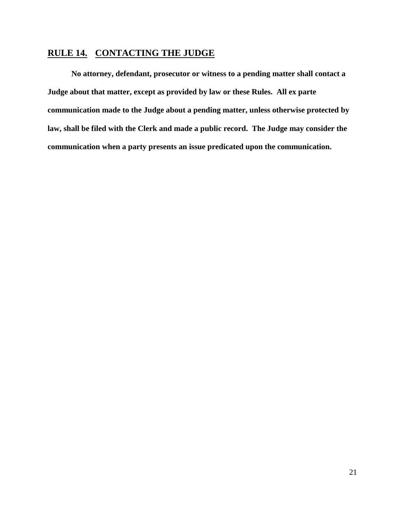# **RULE 14. CONTACTING THE JUDGE**

**No attorney, defendant, prosecutor or witness to a pending matter shall contact a Judge about that matter, except as provided by law or these Rules. All ex parte communication made to the Judge about a pending matter, unless otherwise protected by law, shall be filed with the Clerk and made a public record. The Judge may consider the communication when a party presents an issue predicated upon the communication.**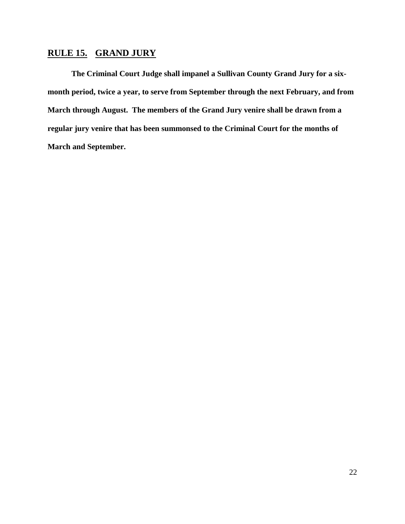# **RULE 15. GRAND JURY**

**The Criminal Court Judge shall impanel a Sullivan County Grand Jury for a sixmonth period, twice a year, to serve from September through the next February, and from March through August. The members of the Grand Jury venire shall be drawn from a regular jury venire that has been summonsed to the Criminal Court for the months of March and September.**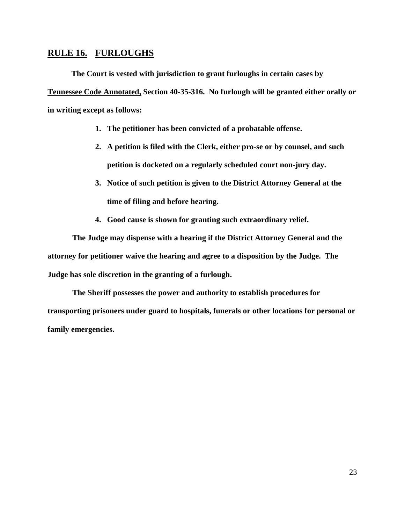# **RULE 16. FURLOUGHS**

**The Court is vested with jurisdiction to grant furloughs in certain cases by Tennessee Code Annotated, Section 40-35-316. No furlough will be granted either orally or in writing except as follows:**

- **1. The petitioner has been convicted of a probatable offense.**
- **2. A petition is filed with the Clerk, either pro-se or by counsel, and such petition is docketed on a regularly scheduled court non-jury day.**
- **3. Notice of such petition is given to the District Attorney General at the time of filing and before hearing.**
- **4. Good cause is shown for granting such extraordinary relief.**

**The Judge may dispense with a hearing if the District Attorney General and the attorney for petitioner waive the hearing and agree to a disposition by the Judge. The Judge has sole discretion in the granting of a furlough.** 

**The Sheriff possesses the power and authority to establish procedures for transporting prisoners under guard to hospitals, funerals or other locations for personal or family emergencies.**